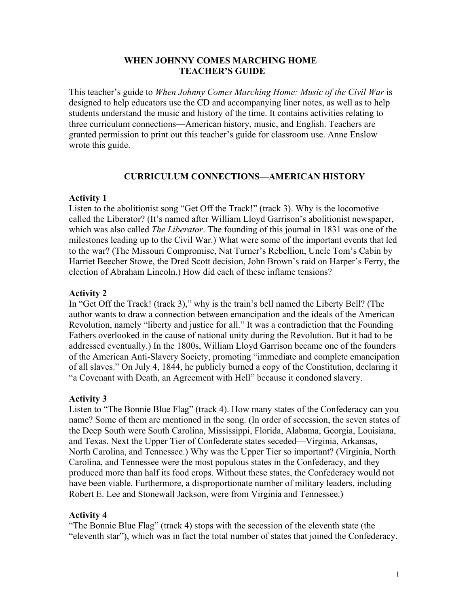#### **WHEN JOHNNY COMES MARCHING HOME TEACHER'S GUIDE**

This teacher's guide to *When Johnny Comes Marching Home: Music of the Civil War* is designed to help educators use the CD and accompanying liner notes, as well as to help students understand the music and history of the time. It contains activities relating to three curriculum connections—American history, music, and English. Teachers are granted permission to print out this teacher's guide for classroom use. Anne Enslow wrote this guide.

## **CURRICULUM CONNECTIONS—AMERICAN HISTORY**

#### **Activity 1**

Listen to the abolitionist song "Get Off the Track!" (track 3). Why is the locomotive called the Liberator? (It's named after William Lloyd Garrison's abolitionist newspaper, which was also called *The Liberator*. The founding of this journal in 1831 was one of the milestones leading up to the Civil War.) What were some of the important events that led to the war? (The Missouri Compromise, Nat Turner's Rebellion, Uncle Tom's Cabin by Harriet Beecher Stowe, the Dred Scott decision, John Brown's raid on Harper's Ferry, the election of Abraham Lincoln.) How did each of these inflame tensions?

#### **Activity 2**

In "Get Off the Track! (track 3)," why is the train's bell named the Liberty Bell? (The author wants to draw a connection between emancipation and the ideals of the American Revolution, namely "liberty and justice for all." It was a contradiction that the Founding Fathers overlooked in the cause of national unity during the Revolution. But it had to be addressed eventually.) In the 1800s, William Lloyd Garrison became one of the founders of the American Anti-Slavery Society, promoting "immediate and complete emancipation of all slaves." On July 4, 1844, he publicly burned a copy of the Constitution, declaring it "a Covenant with Death, an Agreement with Hell" because it condoned slavery.

#### **Activity 3**

Listen to "The Bonnie Blue Flag" (track 4). How many states of the Confederacy can you name? Some of them are mentioned in the song. (In order of secession, the seven states of the Deep South were South Carolina, Mississippi, Florida, Alabama, Georgia, Louisiana, and Texas. Next the Upper Tier of Confederate states seceded—Virginia, Arkansas, North Carolina, and Tennessee.) Why was the Upper Tier so important? (Virginia, North Carolina, and Tennessee were the most populous states in the Confederacy, and they produced more than half its food crops. Without these states, the Confederacy would not have been viable. Furthermore, a disproportionate number of military leaders, including Robert E. Lee and Stonewall Jackson, were from Virginia and Tennessee.)

#### **Activity 4**

"The Bonnie Blue Flag" (track 4) stops with the secession of the eleventh state (the "eleventh star"), which was in fact the total number of states that joined the Confederacy.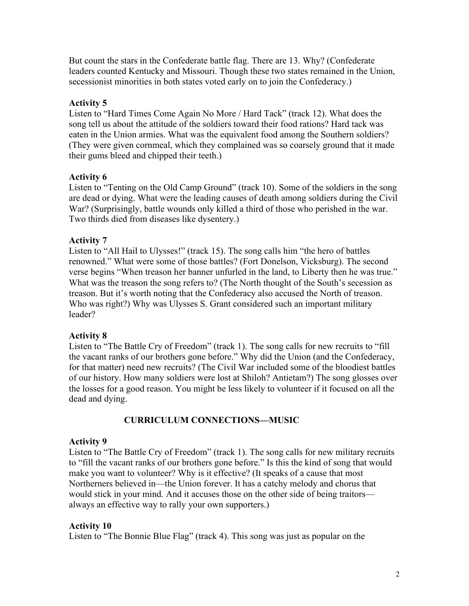But count the stars in the Confederate battle flag. There are 13. Why? (Confederate leaders counted Kentucky and Missouri. Though these two states remained in the Union, secessionist minorities in both states voted early on to join the Confederacy.)

## **Activity 5**

Listen to "Hard Times Come Again No More / Hard Tack" (track 12). What does the song tell us about the attitude of the soldiers toward their food rations? Hard tack was eaten in the Union armies. What was the equivalent food among the Southern soldiers? (They were given cornmeal, which they complained was so coarsely ground that it made their gums bleed and chipped their teeth.)

## **Activity 6**

Listen to "Tenting on the Old Camp Ground" (track 10). Some of the soldiers in the song are dead or dying. What were the leading causes of death among soldiers during the Civil War? (Surprisingly, battle wounds only killed a third of those who perished in the war. Two thirds died from diseases like dysentery.)

## **Activity 7**

Listen to "All Hail to Ulysses!" (track 15). The song calls him "the hero of battles renowned." What were some of those battles? (Fort Donelson, Vicksburg). The second verse begins "When treason her banner unfurled in the land, to Liberty then he was true." What was the treason the song refers to? (The North thought of the South's secession as treason. But it's worth noting that the Confederacy also accused the North of treason. Who was right?) Why was Ulysses S. Grant considered such an important military leader?

## **Activity 8**

Listen to "The Battle Cry of Freedom" (track 1). The song calls for new recruits to "fill the vacant ranks of our brothers gone before." Why did the Union (and the Confederacy, for that matter) need new recruits? (The Civil War included some of the bloodiest battles of our history. How many soldiers were lost at Shiloh? Antietam?) The song glosses over the losses for a good reason. You might be less likely to volunteer if it focused on all the dead and dying.

# **CURRICULUM CONNECTIONS—MUSIC**

## **Activity 9**

Listen to "The Battle Cry of Freedom" (track 1). The song calls for new military recruits to "fill the vacant ranks of our brothers gone before." Is this the kind of song that would make you want to volunteer? Why is it effective? (It speaks of a cause that most Northerners believed in—the Union forever. It has a catchy melody and chorus that would stick in your mind. And it accuses those on the other side of being traitors always an effective way to rally your own supporters.)

## **Activity 10**

Listen to "The Bonnie Blue Flag" (track 4). This song was just as popular on the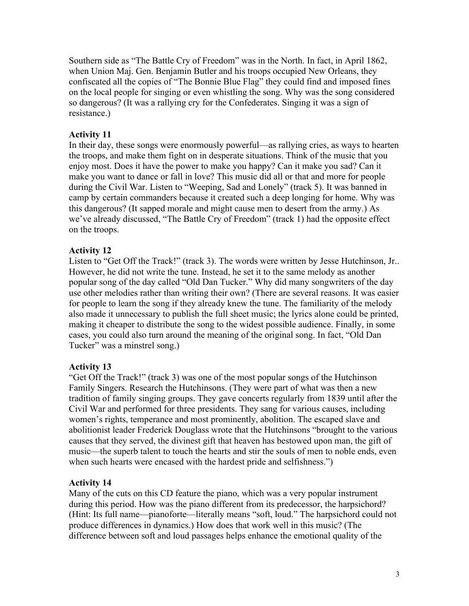Southern side as "The Battle Cry of Freedom" was in the North. In fact, in April 1862, when Union Maj. Gen. Benjamin Butler and his troops occupied New Orleans, they confiscated all the copies of "The Bonnie Blue Flag" they could find and imposed fines on the local people for singing or even whistling the song. Why was the song considered so dangerous? (It was a rallying cry for the Confederates. Singing it was a sign of resistance.)

## **Activity 11**

In their day, these songs were enormously powerful—as rallying cries, as ways to hearten the troops, and make them fight on in desperate situations. Think of the music that you enjoy most. Does it have the power to make you happy? Can it make you sad? Can it make you want to dance or fall in love? This music did all or that and more for people during the Civil War. Listen to "Weeping, Sad and Lonely" (track 5). It was banned in camp by certain commanders because it created such a deep longing for home. Why was this dangerous? (It sapped morale and might cause men to desert from the army.) As we've already discussed, "The Battle Cry of Freedom" (track 1) had the opposite effect on the troops.

## **Activity 12**

Listen to "Get Off the Track!" (track 3). The words were written by Jesse Hutchinson, Jr.. However, he did not write the tune. Instead, he set it to the same melody as another popular song of the day called "Old Dan Tucker." Why did many songwriters of the day use other melodies rather than writing their own? (There are several reasons. It was easier for people to learn the song if they already knew the tune. The familiarity of the melody also made it unnecessary to publish the full sheet music; the lyrics alone could be printed, making it cheaper to distribute the song to the widest possible audience. Finally, in some cases, you could also turn around the meaning of the original song. In fact, "Old Dan Tucker" was a minstrel song.)

## **Activity 13**

"Get Off the Track!" (track 3) was one of the most popular songs of the Hutchinson Family Singers. Research the Hutchinsons. (They were part of what was then a new tradition of family singing groups. They gave concerts regularly from 1839 until after the Civil War and performed for three presidents. They sang for various causes, including women's rights, temperance and most prominently, abolition. The escaped slave and abolitionist leader Frederick Douglass wrote that the Hutchinsons "brought to the various causes that they served, the divinest gift that heaven has bestowed upon man, the gift of music—the superb talent to touch the hearts and stir the souls of men to noble ends, even when such hearts were encased with the hardest pride and selfishness.")

## **Activity 14**

Many of the cuts on this CD feature the piano, which was a very popular instrument during this period. How was the piano different from its predecessor, the harpsichord? (Hint: Its full name—pianoforte—literally means "soft, loud." The harpsichord could not produce differences in dynamics.) How does that work well in this music? (The difference between soft and loud passages helps enhance the emotional quality of the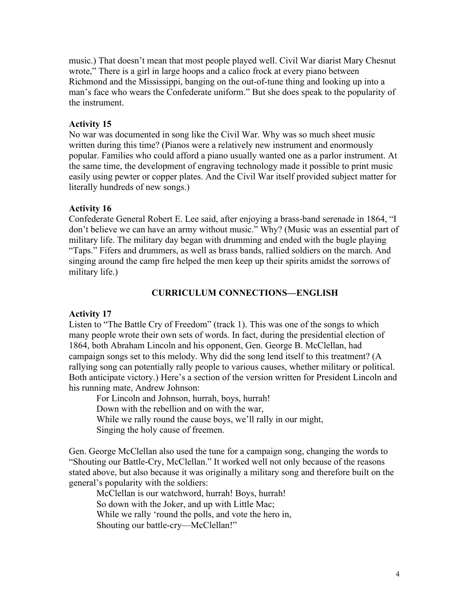music.) That doesn't mean that most people played well. Civil War diarist Mary Chesnut wrote," There is a girl in large hoops and a calico frock at every piano between Richmond and the Mississippi, banging on the out-of-tune thing and looking up into a man's face who wears the Confederate uniform." But she does speak to the popularity of the instrument.

#### **Activity 15**

No war was documented in song like the Civil War. Why was so much sheet music written during this time? (Pianos were a relatively new instrument and enormously popular. Families who could afford a piano usually wanted one as a parlor instrument. At the same time, the development of engraving technology made it possible to print music easily using pewter or copper plates. And the Civil War itself provided subject matter for literally hundreds of new songs.)

#### **Activity 16**

Confederate General Robert E. Lee said, after enjoying a brass-band serenade in 1864, "I don't believe we can have an army without music." Why? (Music was an essential part of military life. The military day began with drumming and ended with the bugle playing "Taps." Fifers and drummers, as well as brass bands, rallied soldiers on the march. And singing around the camp fire helped the men keep up their spirits amidst the sorrows of military life.)

#### **CURRICULUM CONNECTIONS—ENGLISH**

## **Activity 17**

Listen to "The Battle Cry of Freedom" (track 1). This was one of the songs to which many people wrote their own sets of words. In fact, during the presidential election of 1864, both Abraham Lincoln and his opponent, Gen. George B. McClellan, had campaign songs set to this melody. Why did the song lend itself to this treatment? (A rallying song can potentially rally people to various causes, whether military or political. Both anticipate victory.) Here's a section of the version written for President Lincoln and his running mate, Andrew Johnson:

For Lincoln and Johnson, hurrah, boys, hurrah! Down with the rebellion and on with the war, While we rally round the cause boys, we'll rally in our might, Singing the holy cause of freemen.

Gen. George McClellan also used the tune for a campaign song, changing the words to "Shouting our Battle-Cry, McClellan." It worked well not only because of the reasons stated above, but also because it was originally a military song and therefore built on the general's popularity with the soldiers:

McClellan is our watchword, hurrah! Boys, hurrah! So down with the Joker, and up with Little Mac; While we rally 'round the polls, and vote the hero in, Shouting our battle-cry—McClellan!"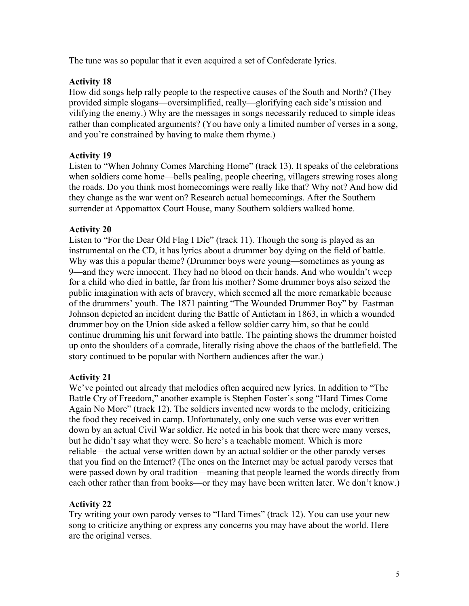The tune was so popular that it even acquired a set of Confederate lyrics.

## **Activity 18**

How did songs help rally people to the respective causes of the South and North? (They provided simple slogans—oversimplified, really—glorifying each side's mission and vilifying the enemy.) Why are the messages in songs necessarily reduced to simple ideas rather than complicated arguments? (You have only a limited number of verses in a song, and you're constrained by having to make them rhyme.)

## **Activity 19**

Listen to "When Johnny Comes Marching Home" (track 13). It speaks of the celebrations when soldiers come home—bells pealing, people cheering, villagers strewing roses along the roads. Do you think most homecomings were really like that? Why not? And how did they change as the war went on? Research actual homecomings. After the Southern surrender at Appomattox Court House, many Southern soldiers walked home.

## **Activity 20**

Listen to "For the Dear Old Flag I Die" (track 11). Though the song is played as an instrumental on the CD, it has lyrics about a drummer boy dying on the field of battle. Why was this a popular theme? (Drummer boys were young—sometimes as young as 9—and they were innocent. They had no blood on their hands. And who wouldn't weep for a child who died in battle, far from his mother? Some drummer boys also seized the public imagination with acts of bravery, which seemed all the more remarkable because of the drummers' youth. The 1871 painting "The Wounded Drummer Boy" by Eastman Johnson depicted an incident during the Battle of Antietam in 1863, in which a wounded drummer boy on the Union side asked a fellow soldier carry him, so that he could continue drumming his unit forward into battle. The painting shows the drummer hoisted up onto the shoulders of a comrade, literally rising above the chaos of the battlefield. The story continued to be popular with Northern audiences after the war.)

# **Activity 21**

We've pointed out already that melodies often acquired new lyrics. In addition to "The Battle Cry of Freedom," another example is Stephen Foster's song "Hard Times Come Again No More" (track 12). The soldiers invented new words to the melody, criticizing the food they received in camp. Unfortunately, only one such verse was ever written down by an actual Civil War soldier. He noted in his book that there were many verses, but he didn't say what they were. So here's a teachable moment. Which is more reliable—the actual verse written down by an actual soldier or the other parody verses that you find on the Internet? (The ones on the Internet may be actual parody verses that were passed down by oral tradition—meaning that people learned the words directly from each other rather than from books—or they may have been written later. We don't know.)

## **Activity 22**

Try writing your own parody verses to "Hard Times" (track 12). You can use your new song to criticize anything or express any concerns you may have about the world. Here are the original verses.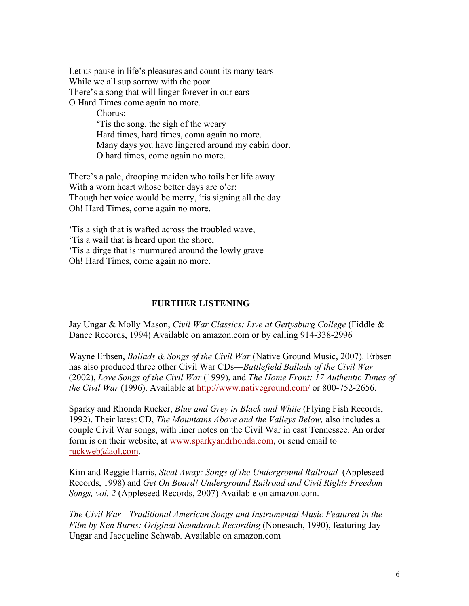Let us pause in life's pleasures and count its many tears While we all sup sorrow with the poor There's a song that will linger forever in our ears O Hard Times come again no more.

> Chorus: 'Tis the song, the sigh of the weary Hard times, hard times, coma again no more. Many days you have lingered around my cabin door. O hard times, come again no more.

There's a pale, drooping maiden who toils her life away With a worn heart whose better days are o'er: Though her voice would be merry, 'tis signing all the day— Oh! Hard Times, come again no more.

'Tis a sigh that is wafted across the troubled wave, 'Tis a wail that is heard upon the shore, 'Tis a dirge that is murmured around the lowly grave— Oh! Hard Times, come again no more.

## **FURTHER LISTENING**

Jay Ungar & Molly Mason, *Civil War Classics: Live at Gettysburg College* (Fiddle & Dance Records, 1994) Available on amazon.com or by calling 914-338-2996

Wayne Erbsen, *Ballads & Songs of the Civil War* (Native Ground Music, 2007). Erbsen has also produced three other Civil War CDs—*Battlefield Ballads of the Civil War* (2002), *Love Songs of the Civil War* (1999), and *The Home Front: 17 Authentic Tunes of the Civil War* (1996). Available at http://www.nativeground.com/ or 800-752-2656.

Sparky and Rhonda Rucker, *Blue and Grey in Black and White* (Flying Fish Records, 1992). Their latest CD, *The Mountains Above and the Valleys Below,* also includes a couple Civil War songs, with liner notes on the Civil War in east Tennessee. An order form is on their website, at www.sparkyandrhonda.com, or send email to ruckweb@aol.com.

Kim and Reggie Harris, *Steal Away: Songs of the Underground Railroad* (Appleseed Records, 1998) and *Get On Board! Underground Railroad and Civil Rights Freedom Songs, vol. 2* (Appleseed Records, 2007) Available on amazon.com.

*The Civil War—Traditional American Songs and Instrumental Music Featured in the Film by Ken Burns: Original Soundtrack Recording* (Nonesuch, 1990), featuring Jay Ungar and Jacqueline Schwab. Available on amazon.com